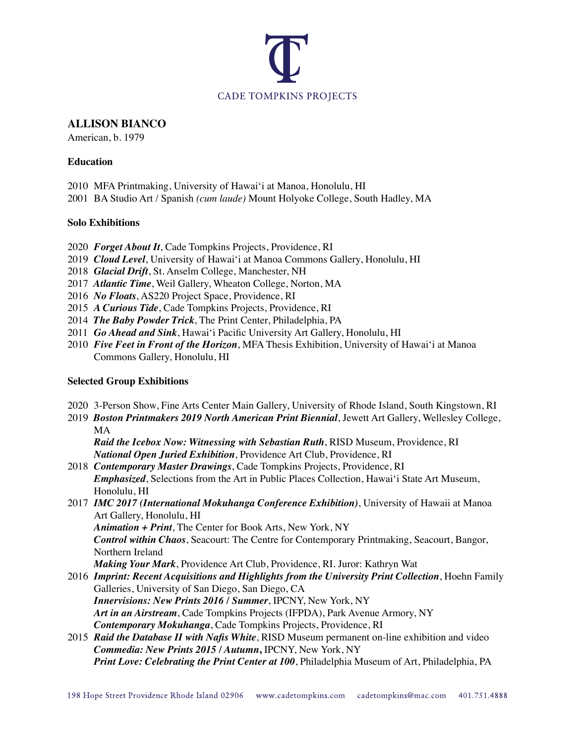

### **ALLISON BIANCO**

American, b. 1979

## **Education**

- 2010 MFA Printmaking, University of Hawai'i at Manoa, Honolulu, HI
- 2001 BA Studio Art / Spanish *(cum laude)* Mount Holyoke College, South Hadley, MA

## **Solo Exhibitions**

- 2020 *Forget About It*, Cade Tompkins Projects, Providence, RI
- 2019 *Cloud Level*, University of Hawai'i at Manoa Commons Gallery, Honolulu, HI
- 2018 *Glacial Drift*, St. Anselm College, Manchester, NH
- 2017 *Atlantic Time*, Weil Gallery, Wheaton College, Norton, MA
- 2016 *No Floats*, AS220 Project Space, Providence, RI
- 2015 *A Curious Tide*, Cade Tompkins Projects, Providence, RI
- 2014 *The Baby Powder Trick*, The Print Center, Philadelphia, PA
- 2011 *Go Ahead and Sink*, Hawai'i Pacific University Art Gallery, Honolulu, HI
- 2010 *Five Feet in Front of the Horizon*, MFA Thesis Exhibition, University of Hawai'i at Manoa Commons Gallery, Honolulu, HI

# **Selected Group Exhibitions**

- 2020 3-Person Show, Fine Arts Center Main Gallery, University of Rhode Island, South Kingstown, RI
- 2019 *Boston Printmakers 2019 North American Print Biennial*, Jewett Art Gallery, Wellesley College, MA

*Raid the Icebox Now: Witnessing with Sebastian Ruth*, RISD Museum, Providence, RI *National Open Juried Exhibition*, Providence Art Club, Providence, RI

- 2018 *Contemporary Master Drawings*, Cade Tompkins Projects, Providence, RI *Emphasized*, Selections from the Art in Public Places Collection, Hawai'i State Art Museum, Honolulu, HI
- 2017 *IMC 2017 (International Mokuhanga Conference Exhibition)*, University of Hawaii at Manoa Art Gallery, Honolulu, HI

*Animation + Print*, The Center for Book Arts, New York, NY *Control within Chaos*, Seacourt: The Centre for Contemporary Printmaking, Seacourt, Bangor, Northern Ireland

*Making Your Mark*, Providence Art Club, Providence, RI. Juror: Kathryn Wat

- 2016 *Imprint: Recent Acquisitions and Highlights from the University Print Collection*, Hoehn Family Galleries, University of San Diego, San Diego, CA *Innervisions: New Prints 2016 / Summer*, IPCNY, New York, NY *Art in an Airstream*, Cade Tompkins Projects (IFPDA), Park Avenue Armory, NY *Contemporary Mokuhanga*, Cade Tompkins Projects, Providence, RI
- 2015 *Raid the Database II with Nafis White*, RISD Museum permanent on-line exhibition and video *Commedia: New Prints 2015 / Autumn***,** IPCNY, New York, NY *Print Love: Celebrating the Print Center at 100*, Philadelphia Museum of Art, Philadelphia, PA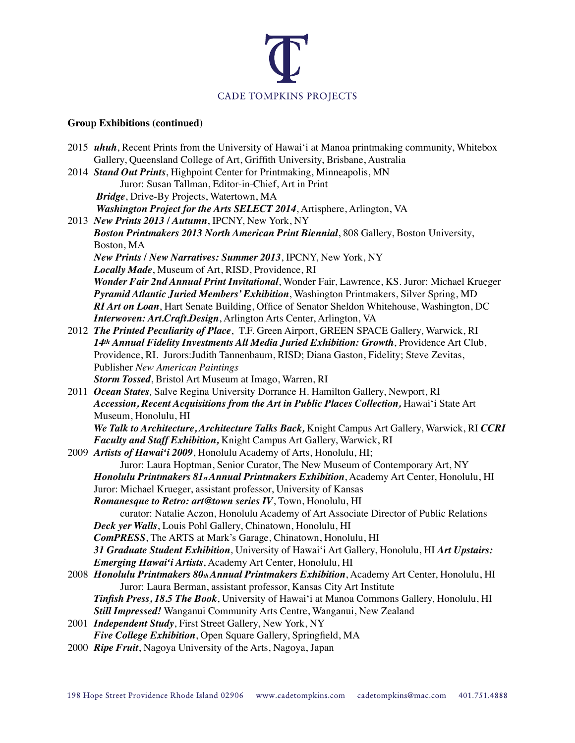

# **Group Exhibitions (continued)**

| Gallery, Queensland College of Art, Griffith University, Brisbane, Australia<br>2014 Stand Out Prints, Highpoint Center for Printmaking, Minneapolis, MN<br>Juror: Susan Tallman, Editor-in-Chief, Art in Print<br>Bridge, Drive-By Projects, Watertown, MA<br>Washington Project for the Arts SELECT 2014, Artisphere, Arlington, VA<br>2013 New Prints 2013 / Autumn, IPCNY, New York, NY<br>Boston Printmakers 2013 North American Print Biennial, 808 Gallery, Boston University,<br>Boston, MA<br>New Prints / New Narratives: Summer 2013, IPCNY, New York, NY |
|----------------------------------------------------------------------------------------------------------------------------------------------------------------------------------------------------------------------------------------------------------------------------------------------------------------------------------------------------------------------------------------------------------------------------------------------------------------------------------------------------------------------------------------------------------------------|
|                                                                                                                                                                                                                                                                                                                                                                                                                                                                                                                                                                      |
|                                                                                                                                                                                                                                                                                                                                                                                                                                                                                                                                                                      |
|                                                                                                                                                                                                                                                                                                                                                                                                                                                                                                                                                                      |
|                                                                                                                                                                                                                                                                                                                                                                                                                                                                                                                                                                      |
|                                                                                                                                                                                                                                                                                                                                                                                                                                                                                                                                                                      |
|                                                                                                                                                                                                                                                                                                                                                                                                                                                                                                                                                                      |
|                                                                                                                                                                                                                                                                                                                                                                                                                                                                                                                                                                      |
|                                                                                                                                                                                                                                                                                                                                                                                                                                                                                                                                                                      |
|                                                                                                                                                                                                                                                                                                                                                                                                                                                                                                                                                                      |
| Locally Made, Museum of Art, RISD, Providence, RI                                                                                                                                                                                                                                                                                                                                                                                                                                                                                                                    |
| Wonder Fair 2nd Annual Print Invitational, Wonder Fair, Lawrence, KS. Juror: Michael Krueger                                                                                                                                                                                                                                                                                                                                                                                                                                                                         |
| Pyramid Atlantic Juried Members' Exhibition, Washington Printmakers, Silver Spring, MD                                                                                                                                                                                                                                                                                                                                                                                                                                                                               |
| RI Art on Loan, Hart Senate Building, Office of Senator Sheldon Whitehouse, Washington, DC                                                                                                                                                                                                                                                                                                                                                                                                                                                                           |
| Interwoven: Art.Craft.Design, Arlington Arts Center, Arlington, VA                                                                                                                                                                                                                                                                                                                                                                                                                                                                                                   |
| 2012 The Printed Peculiarity of Place, T.F. Green Airport, GREEN SPACE Gallery, Warwick, RI                                                                                                                                                                                                                                                                                                                                                                                                                                                                          |
| 14th Annual Fidelity Investments All Media Juried Exhibition: Growth, Providence Art Club,                                                                                                                                                                                                                                                                                                                                                                                                                                                                           |
| Providence, RI. Jurors: Judith Tannenbaum, RISD; Diana Gaston, Fidelity; Steve Zevitas,                                                                                                                                                                                                                                                                                                                                                                                                                                                                              |
| Publisher New American Paintings                                                                                                                                                                                                                                                                                                                                                                                                                                                                                                                                     |
| Storm Tossed, Bristol Art Museum at Imago, Warren, RI                                                                                                                                                                                                                                                                                                                                                                                                                                                                                                                |
| 2011 Ocean States, Salve Regina University Dorrance H. Hamilton Gallery, Newport, RI                                                                                                                                                                                                                                                                                                                                                                                                                                                                                 |
| Accession, Recent Acquisitions from the Art in Public Places Collection, Hawai'i State Art                                                                                                                                                                                                                                                                                                                                                                                                                                                                           |
| Museum, Honolulu, HI                                                                                                                                                                                                                                                                                                                                                                                                                                                                                                                                                 |
| We Talk to Architecture, Architecture Talks Back, Knight Campus Art Gallery, Warwick, RI CCRI                                                                                                                                                                                                                                                                                                                                                                                                                                                                        |
| Faculty and Staff Exhibition, Knight Campus Art Gallery, Warwick, RI                                                                                                                                                                                                                                                                                                                                                                                                                                                                                                 |
| 2009 Artists of Hawai'i 2009, Honolulu Academy of Arts, Honolulu, HI;                                                                                                                                                                                                                                                                                                                                                                                                                                                                                                |
| Juror: Laura Hoptman, Senior Curator, The New Museum of Contemporary Art, NY                                                                                                                                                                                                                                                                                                                                                                                                                                                                                         |
| Honolulu Printmakers 81s Annual Printmakers Exhibition, Academy Art Center, Honolulu, HI                                                                                                                                                                                                                                                                                                                                                                                                                                                                             |
| Juror: Michael Krueger, assistant professor, University of Kansas                                                                                                                                                                                                                                                                                                                                                                                                                                                                                                    |
| Romanesque to Retro: art@town series IV, Town, Honolulu, HI                                                                                                                                                                                                                                                                                                                                                                                                                                                                                                          |
| curator: Natalie Aczon, Honolulu Academy of Art Associate Director of Public Relations                                                                                                                                                                                                                                                                                                                                                                                                                                                                               |
| Deck yer Walls, Louis Pohl Gallery, Chinatown, Honolulu, HI                                                                                                                                                                                                                                                                                                                                                                                                                                                                                                          |
| <b>ComPRESS</b> , The ARTS at Mark's Garage, Chinatown, Honolulu, HI                                                                                                                                                                                                                                                                                                                                                                                                                                                                                                 |
| 31 Graduate Student Exhibition, University of Hawai'i Art Gallery, Honolulu, HI Art Upstairs:                                                                                                                                                                                                                                                                                                                                                                                                                                                                        |
| <i>Emerging Hawai'i Artists</i> , Academy Art Center, Honolulu, HI                                                                                                                                                                                                                                                                                                                                                                                                                                                                                                   |
| 2008 Honolulu Printmakers 80th Annual Printmakers Exhibition, Academy Art Center, Honolulu, HI                                                                                                                                                                                                                                                                                                                                                                                                                                                                       |
| Juror: Laura Berman, assistant professor, Kansas City Art Institute                                                                                                                                                                                                                                                                                                                                                                                                                                                                                                  |
| Tinfish Press, 18.5 The Book, University of Hawai'i at Manoa Commons Gallery, Honolulu, HI                                                                                                                                                                                                                                                                                                                                                                                                                                                                           |
| Still Impressed! Wanganui Community Arts Centre, Wanganui, New Zealand                                                                                                                                                                                                                                                                                                                                                                                                                                                                                               |
| 2001 Independent Study, First Street Gallery, New York, NY                                                                                                                                                                                                                                                                                                                                                                                                                                                                                                           |
| Five College Exhibition, Open Square Gallery, Springfield, MA<br>2000 Ripe Fruit, Nagoya University of the Arts, Nagoya, Japan                                                                                                                                                                                                                                                                                                                                                                                                                                       |
|                                                                                                                                                                                                                                                                                                                                                                                                                                                                                                                                                                      |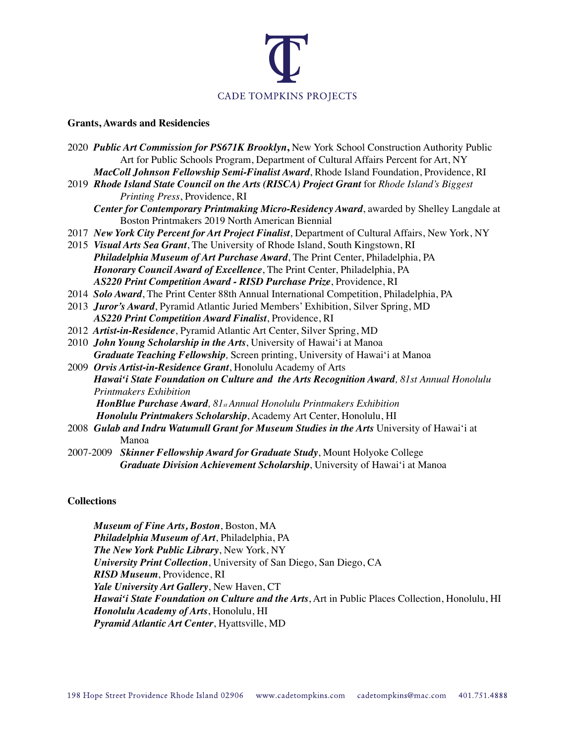

### **Grants, Awards and Residencies**

| 2020 Public Art Commission for PS671K Brooklyn, New York School Construction Authority Public     |
|---------------------------------------------------------------------------------------------------|
| Art for Public Schools Program, Department of Cultural Affairs Percent for Art, NY                |
| MacColl Johnson Fellowship Semi-Finalist Award, Rhode Island Foundation, Providence, RI           |
| 2019 Rhode Island State Council on the Arts (RISCA) Project Grant for Rhode Island's Biggest      |
| Printing Press, Providence, RI                                                                    |
| Center for Contemporary Printmaking Micro-Residency Award, awarded by Shelley Langdale at         |
| Boston Printmakers 2019 North American Biennial                                                   |
| 2017 New York City Percent for Art Project Finalist, Department of Cultural Affairs, New York, NY |
| 2015 Visual Arts Sea Grant, The University of Rhode Island, South Kingstown, RI                   |
| Philadelphia Museum of Art Purchase Award, The Print Center, Philadelphia, PA                     |
| Honorary Council Award of Excellence, The Print Center, Philadelphia, PA                          |
| AS220 Print Competition Award - RISD Purchase Prize, Providence, RI                               |
| 2014 Solo Award, The Print Center 88th Annual International Competition, Philadelphia, PA         |
| 2013 Juror's Award, Pyramid Atlantic Juried Members' Exhibition, Silver Spring, MD                |
| AS220 Print Competition Award Finalist, Providence, RI                                            |
| 2012 Artist-in-Residence, Pyramid Atlantic Art Center, Silver Spring, MD                          |
| 2010 John Young Scholarship in the Arts, University of Hawai'i at Manoa                           |
| Graduate Teaching Fellowship, Screen printing, University of Hawai'i at Manoa                     |
| 2009 Orvis Artist-in-Residence Grant, Honolulu Academy of Arts                                    |
| Hawai'i State Foundation on Culture and the Arts Recognition Award, 81st Annual Honolulu          |
| <b>Printmakers Exhibition</b>                                                                     |
| HonBlue Purchase Award, 81st Annual Honolulu Printmakers Exhibition                               |
| Honolulu Printmakers Scholarship, Academy Art Center, Honolulu, HI                                |
| 2008 Gulab and Indru Watumull Grant for Museum Studies in the Arts University of Hawai'i at       |
| Manoa                                                                                             |
| 2007-2009 Skinner Fellowship Award for Graduate Study, Mount Holyoke College                      |
| Graduate Division Achievement Scholarship, University of Hawai'i at Manoa                         |

## **Collections**

*Museum of Fine Arts, Boston*, Boston, MA *Philadelphia Museum of Art*, Philadelphia, PA *The New York Public Library*, New York, NY *University Print Collection*, University of San Diego, San Diego, CA *RISD Museum*, Providence, RI *Yale University Art Gallery*, New Haven, CT *Hawai'i State Foundation on Culture and the Arts*, Art in Public Places Collection, Honolulu, HI *Honolulu Academy of Arts*, Honolulu, HI *Pyramid Atlantic Art Center*, Hyattsville, MD